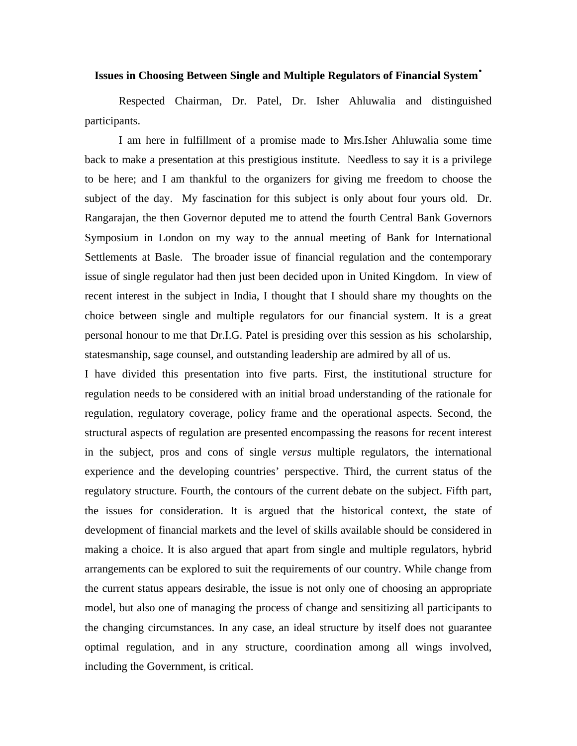#### **Issues in Choosing Between Single and Multiple Regulators of Financial System**•

Respected Chairman, Dr. Patel, Dr. Isher Ahluwalia and distinguished participants.

I am here in fulfillment of a promise made to Mrs.Isher Ahluwalia some time back to make a presentation at this prestigious institute. Needless to say it is a privilege to be here; and I am thankful to the organizers for giving me freedom to choose the subject of the day. My fascination for this subject is only about four yours old. Dr. Rangarajan, the then Governor deputed me to attend the fourth Central Bank Governors Symposium in London on my way to the annual meeting of Bank for International Settlements at Basle. The broader issue of financial regulation and the contemporary issue of single regulator had then just been decided upon in United Kingdom. In view of recent interest in the subject in India, I thought that I should share my thoughts on the choice between single and multiple regulators for our financial system. It is a great personal honour to me that Dr.I.G. Patel is presiding over this session as his scholarship, statesmanship, sage counsel, and outstanding leadership are admired by all of us.

I have divided this presentation into five parts. First, the institutional structure for regulation needs to be considered with an initial broad understanding of the rationale for regulation, regulatory coverage, policy frame and the operational aspects. Second, the structural aspects of regulation are presented encompassing the reasons for recent interest in the subject, pros and cons of single *versus* multiple regulators, the international experience and the developing countries' perspective. Third, the current status of the regulatory structure. Fourth, the contours of the current debate on the subject. Fifth part, the issues for consideration. It is argued that the historical context, the state of development of financial markets and the level of skills available should be considered in making a choice. It is also argued that apart from single and multiple regulators, hybrid arrangements can be explored to suit the requirements of our country. While change from the current status appears desirable, the issue is not only one of choosing an appropriate model, but also one of managing the process of change and sensitizing all participants to the changing circumstances. In any case, an ideal structure by itself does not guarantee optimal regulation, and in any structure, coordination among all wings involved, including the Government, is critical.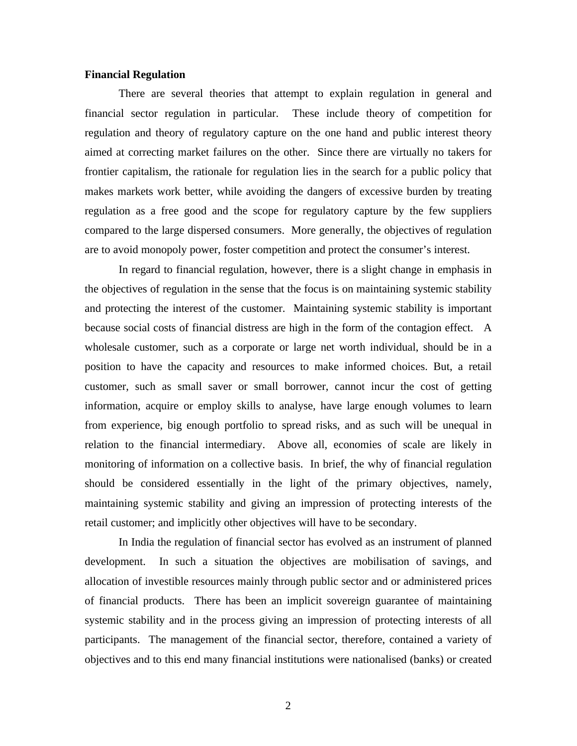# **Financial Regulation**

There are several theories that attempt to explain regulation in general and financial sector regulation in particular. These include theory of competition for regulation and theory of regulatory capture on the one hand and public interest theory aimed at correcting market failures on the other. Since there are virtually no takers for frontier capitalism, the rationale for regulation lies in the search for a public policy that makes markets work better, while avoiding the dangers of excessive burden by treating regulation as a free good and the scope for regulatory capture by the few suppliers compared to the large dispersed consumers. More generally, the objectives of regulation are to avoid monopoly power, foster competition and protect the consumer's interest.

In regard to financial regulation, however, there is a slight change in emphasis in the objectives of regulation in the sense that the focus is on maintaining systemic stability and protecting the interest of the customer. Maintaining systemic stability is important because social costs of financial distress are high in the form of the contagion effect. A wholesale customer, such as a corporate or large net worth individual, should be in a position to have the capacity and resources to make informed choices. But, a retail customer, such as small saver or small borrower, cannot incur the cost of getting information, acquire or employ skills to analyse, have large enough volumes to learn from experience, big enough portfolio to spread risks, and as such will be unequal in relation to the financial intermediary. Above all, economies of scale are likely in monitoring of information on a collective basis. In brief, the why of financial regulation should be considered essentially in the light of the primary objectives, namely, maintaining systemic stability and giving an impression of protecting interests of the retail customer; and implicitly other objectives will have to be secondary.

In India the regulation of financial sector has evolved as an instrument of planned development. In such a situation the objectives are mobilisation of savings, and allocation of investible resources mainly through public sector and or administered prices of financial products. There has been an implicit sovereign guarantee of maintaining systemic stability and in the process giving an impression of protecting interests of all participants. The management of the financial sector, therefore, contained a variety of objectives and to this end many financial institutions were nationalised (banks) or created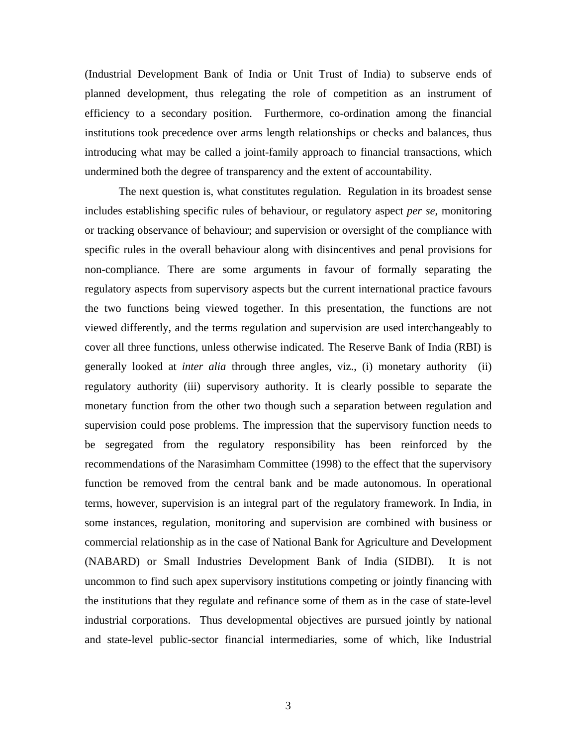(Industrial Development Bank of India or Unit Trust of India) to subserve ends of planned development, thus relegating the role of competition as an instrument of efficiency to a secondary position. Furthermore, co-ordination among the financial institutions took precedence over arms length relationships or checks and balances, thus introducing what may be called a joint-family approach to financial transactions, which undermined both the degree of transparency and the extent of accountability.

The next question is, what constitutes regulation. Regulation in its broadest sense includes establishing specific rules of behaviour, or regulatory aspect *per se*, monitoring or tracking observance of behaviour; and supervision or oversight of the compliance with specific rules in the overall behaviour along with disincentives and penal provisions for non-compliance. There are some arguments in favour of formally separating the regulatory aspects from supervisory aspects but the current international practice favours the two functions being viewed together. In this presentation, the functions are not viewed differently, and the terms regulation and supervision are used interchangeably to cover all three functions, unless otherwise indicated. The Reserve Bank of India (RBI) is generally looked at *inter alia* through three angles, viz., (i) monetary authority (ii) regulatory authority (iii) supervisory authority. It is clearly possible to separate the monetary function from the other two though such a separation between regulation and supervision could pose problems. The impression that the supervisory function needs to be segregated from the regulatory responsibility has been reinforced by the recommendations of the Narasimham Committee (1998) to the effect that the supervisory function be removed from the central bank and be made autonomous. In operational terms, however, supervision is an integral part of the regulatory framework. In India, in some instances, regulation, monitoring and supervision are combined with business or commercial relationship as in the case of National Bank for Agriculture and Development (NABARD) or Small Industries Development Bank of India (SIDBI). It is not uncommon to find such apex supervisory institutions competing or jointly financing with the institutions that they regulate and refinance some of them as in the case of state-level industrial corporations. Thus developmental objectives are pursued jointly by national and state-level public-sector financial intermediaries, some of which, like Industrial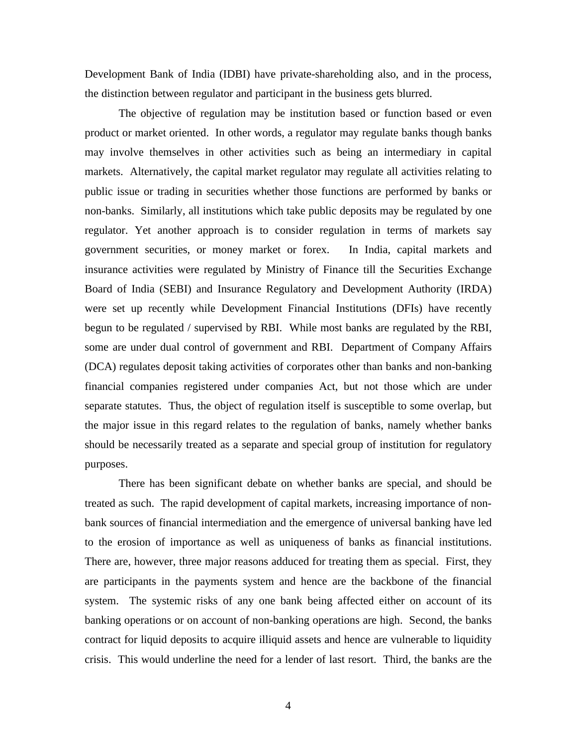Development Bank of India (IDBI) have private-shareholding also, and in the process, the distinction between regulator and participant in the business gets blurred.

The objective of regulation may be institution based or function based or even product or market oriented. In other words, a regulator may regulate banks though banks may involve themselves in other activities such as being an intermediary in capital markets. Alternatively, the capital market regulator may regulate all activities relating to public issue or trading in securities whether those functions are performed by banks or non-banks. Similarly, all institutions which take public deposits may be regulated by one regulator. Yet another approach is to consider regulation in terms of markets say government securities, or money market or forex. In India, capital markets and insurance activities were regulated by Ministry of Finance till the Securities Exchange Board of India (SEBI) and Insurance Regulatory and Development Authority (IRDA) were set up recently while Development Financial Institutions (DFIs) have recently begun to be regulated / supervised by RBI. While most banks are regulated by the RBI, some are under dual control of government and RBI. Department of Company Affairs (DCA) regulates deposit taking activities of corporates other than banks and non-banking financial companies registered under companies Act, but not those which are under separate statutes. Thus, the object of regulation itself is susceptible to some overlap, but the major issue in this regard relates to the regulation of banks, namely whether banks should be necessarily treated as a separate and special group of institution for regulatory purposes.

There has been significant debate on whether banks are special, and should be treated as such. The rapid development of capital markets, increasing importance of nonbank sources of financial intermediation and the emergence of universal banking have led to the erosion of importance as well as uniqueness of banks as financial institutions. There are, however, three major reasons adduced for treating them as special. First, they are participants in the payments system and hence are the backbone of the financial system. The systemic risks of any one bank being affected either on account of its banking operations or on account of non-banking operations are high. Second, the banks contract for liquid deposits to acquire illiquid assets and hence are vulnerable to liquidity crisis. This would underline the need for a lender of last resort. Third, the banks are the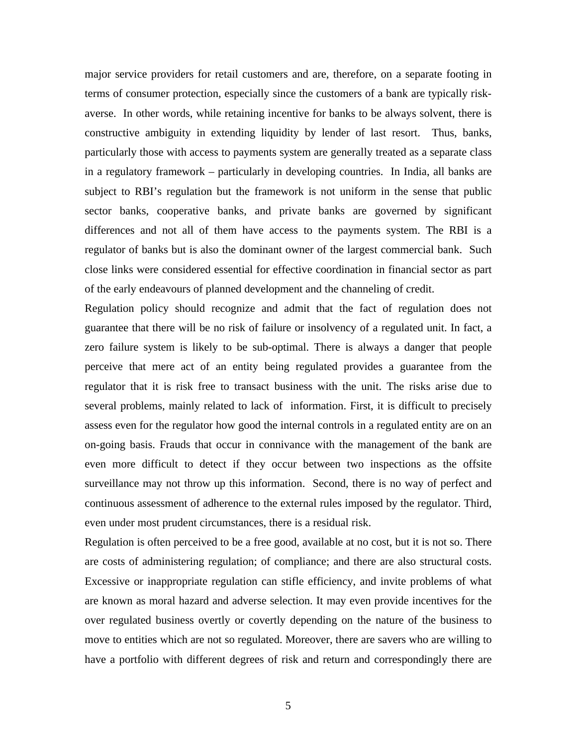major service providers for retail customers and are, therefore, on a separate footing in terms of consumer protection, especially since the customers of a bank are typically riskaverse. In other words, while retaining incentive for banks to be always solvent, there is constructive ambiguity in extending liquidity by lender of last resort. Thus, banks, particularly those with access to payments system are generally treated as a separate class in a regulatory framework – particularly in developing countries. In India, all banks are subject to RBI's regulation but the framework is not uniform in the sense that public sector banks, cooperative banks, and private banks are governed by significant differences and not all of them have access to the payments system. The RBI is a regulator of banks but is also the dominant owner of the largest commercial bank. Such close links were considered essential for effective coordination in financial sector as part of the early endeavours of planned development and the channeling of credit.

Regulation policy should recognize and admit that the fact of regulation does not guarantee that there will be no risk of failure or insolvency of a regulated unit. In fact, a zero failure system is likely to be sub-optimal. There is always a danger that people perceive that mere act of an entity being regulated provides a guarantee from the regulator that it is risk free to transact business with the unit. The risks arise due to several problems, mainly related to lack of information. First, it is difficult to precisely assess even for the regulator how good the internal controls in a regulated entity are on an on-going basis. Frauds that occur in connivance with the management of the bank are even more difficult to detect if they occur between two inspections as the offsite surveillance may not throw up this information. Second, there is no way of perfect and continuous assessment of adherence to the external rules imposed by the regulator. Third, even under most prudent circumstances, there is a residual risk.

Regulation is often perceived to be a free good, available at no cost, but it is not so. There are costs of administering regulation; of compliance; and there are also structural costs. Excessive or inappropriate regulation can stifle efficiency, and invite problems of what are known as moral hazard and adverse selection. It may even provide incentives for the over regulated business overtly or covertly depending on the nature of the business to move to entities which are not so regulated. Moreover, there are savers who are willing to have a portfolio with different degrees of risk and return and correspondingly there are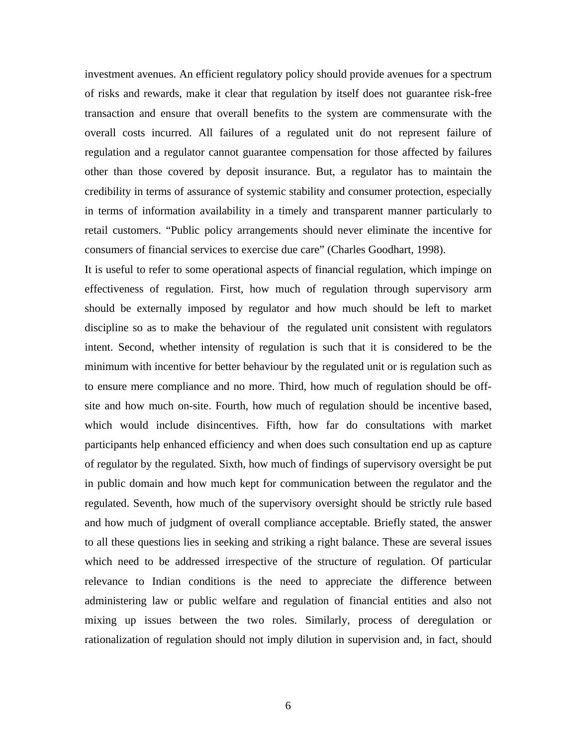investment avenues. An efficient regulatory policy should provide avenues for a spectrum of risks and rewards, make it clear that regulation by itself does not guarantee risk-free transaction and ensure that overall benefits to the system are commensurate with the overall costs incurred. All failures of a regulated unit do not represent failure of regulation and a regulator cannot guarantee compensation for those affected by failures other than those covered by deposit insurance. But, a regulator has to maintain the credibility in terms of assurance of systemic stability and consumer protection, especially in terms of information availability in a timely and transparent manner particularly to retail customers. "Public policy arrangements should never eliminate the incentive for consumers of financial services to exercise due care" (Charles Goodhart, 1998).

It is useful to refer to some operational aspects of financial regulation, which impinge on effectiveness of regulation. First, how much of regulation through supervisory arm should be externally imposed by regulator and how much should be left to market discipline so as to make the behaviour of the regulated unit consistent with regulators intent. Second, whether intensity of regulation is such that it is considered to be the minimum with incentive for better behaviour by the regulated unit or is regulation such as to ensure mere compliance and no more. Third, how much of regulation should be offsite and how much on-site. Fourth, how much of regulation should be incentive based, which would include disincentives. Fifth, how far do consultations with market participants help enhanced efficiency and when does such consultation end up as capture of regulator by the regulated. Sixth, how much of findings of supervisory oversight be put in public domain and how much kept for communication between the regulator and the regulated. Seventh, how much of the supervisory oversight should be strictly rule based and how much of judgment of overall compliance acceptable. Briefly stated, the answer to all these questions lies in seeking and striking a right balance. These are several issues which need to be addressed irrespective of the structure of regulation. Of particular relevance to Indian conditions is the need to appreciate the difference between administering law or public welfare and regulation of financial entities and also not mixing up issues between the two roles. Similarly, process of deregulation or rationalization of regulation should not imply dilution in supervision and, in fact, should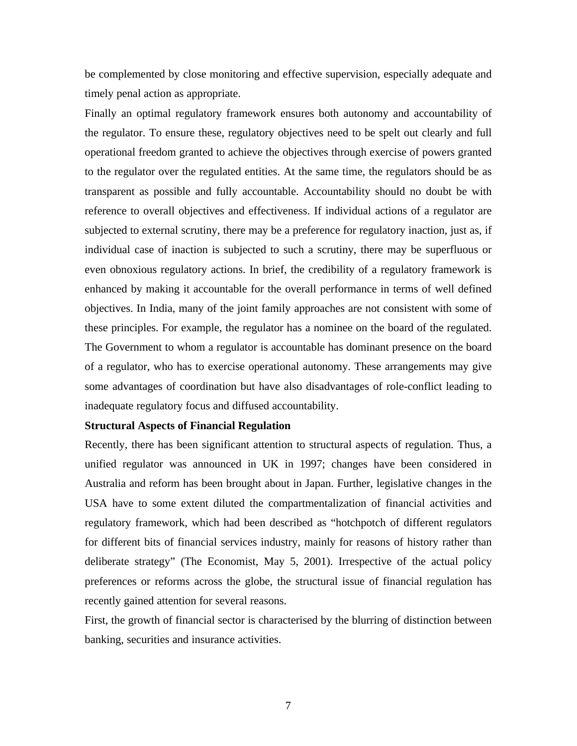be complemented by close monitoring and effective supervision, especially adequate and timely penal action as appropriate.

Finally an optimal regulatory framework ensures both autonomy and accountability of the regulator. To ensure these, regulatory objectives need to be spelt out clearly and full operational freedom granted to achieve the objectives through exercise of powers granted to the regulator over the regulated entities. At the same time, the regulators should be as transparent as possible and fully accountable. Accountability should no doubt be with reference to overall objectives and effectiveness. If individual actions of a regulator are subjected to external scrutiny, there may be a preference for regulatory inaction, just as, if individual case of inaction is subjected to such a scrutiny, there may be superfluous or even obnoxious regulatory actions. In brief, the credibility of a regulatory framework is enhanced by making it accountable for the overall performance in terms of well defined objectives. In India, many of the joint family approaches are not consistent with some of these principles. For example, the regulator has a nominee on the board of the regulated. The Government to whom a regulator is accountable has dominant presence on the board of a regulator, who has to exercise operational autonomy. These arrangements may give some advantages of coordination but have also disadvantages of role-conflict leading to inadequate regulatory focus and diffused accountability.

# **Structural Aspects of Financial Regulation**

Recently, there has been significant attention to structural aspects of regulation. Thus, a unified regulator was announced in UK in 1997; changes have been considered in Australia and reform has been brought about in Japan. Further, legislative changes in the USA have to some extent diluted the compartmentalization of financial activities and regulatory framework, which had been described as "hotchpotch of different regulators for different bits of financial services industry, mainly for reasons of history rather than deliberate strategy" (The Economist, May 5, 2001). Irrespective of the actual policy preferences or reforms across the globe, the structural issue of financial regulation has recently gained attention for several reasons.

First, the growth of financial sector is characterised by the blurring of distinction between banking, securities and insurance activities.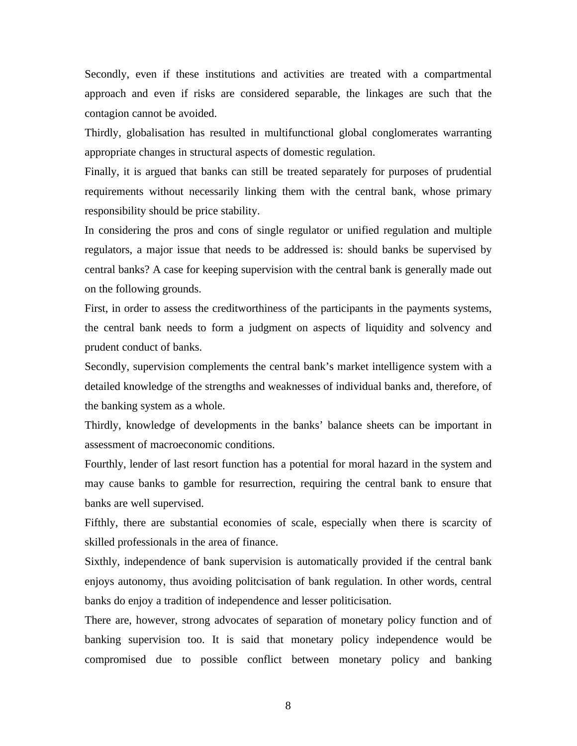Secondly, even if these institutions and activities are treated with a compartmental approach and even if risks are considered separable, the linkages are such that the contagion cannot be avoided.

Thirdly, globalisation has resulted in multifunctional global conglomerates warranting appropriate changes in structural aspects of domestic regulation.

Finally, it is argued that banks can still be treated separately for purposes of prudential requirements without necessarily linking them with the central bank, whose primary responsibility should be price stability.

In considering the pros and cons of single regulator or unified regulation and multiple regulators, a major issue that needs to be addressed is: should banks be supervised by central banks? A case for keeping supervision with the central bank is generally made out on the following grounds.

First, in order to assess the creditworthiness of the participants in the payments systems, the central bank needs to form a judgment on aspects of liquidity and solvency and prudent conduct of banks.

Secondly, supervision complements the central bank's market intelligence system with a detailed knowledge of the strengths and weaknesses of individual banks and, therefore, of the banking system as a whole.

Thirdly, knowledge of developments in the banks' balance sheets can be important in assessment of macroeconomic conditions.

Fourthly, lender of last resort function has a potential for moral hazard in the system and may cause banks to gamble for resurrection, requiring the central bank to ensure that banks are well supervised.

Fifthly, there are substantial economies of scale, especially when there is scarcity of skilled professionals in the area of finance.

Sixthly, independence of bank supervision is automatically provided if the central bank enjoys autonomy, thus avoiding politcisation of bank regulation. In other words, central banks do enjoy a tradition of independence and lesser politicisation.

There are, however, strong advocates of separation of monetary policy function and of banking supervision too. It is said that monetary policy independence would be compromised due to possible conflict between monetary policy and banking

8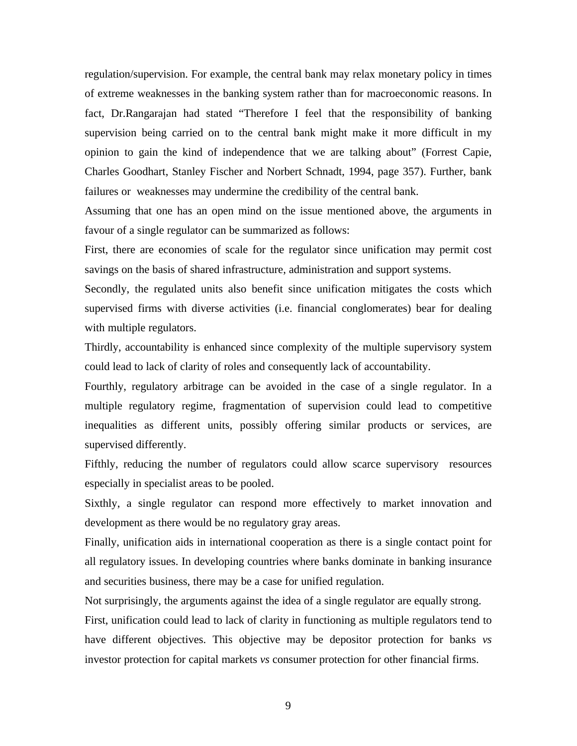regulation/supervision. For example, the central bank may relax monetary policy in times of extreme weaknesses in the banking system rather than for macroeconomic reasons. In fact, Dr.Rangarajan had stated "Therefore I feel that the responsibility of banking supervision being carried on to the central bank might make it more difficult in my opinion to gain the kind of independence that we are talking about" (Forrest Capie, Charles Goodhart, Stanley Fischer and Norbert Schnadt, 1994, page 357). Further, bank failures or weaknesses may undermine the credibility of the central bank.

Assuming that one has an open mind on the issue mentioned above, the arguments in favour of a single regulator can be summarized as follows:

First, there are economies of scale for the regulator since unification may permit cost savings on the basis of shared infrastructure, administration and support systems.

Secondly, the regulated units also benefit since unification mitigates the costs which supervised firms with diverse activities (i.e. financial conglomerates) bear for dealing with multiple regulators.

Thirdly, accountability is enhanced since complexity of the multiple supervisory system could lead to lack of clarity of roles and consequently lack of accountability.

Fourthly, regulatory arbitrage can be avoided in the case of a single regulator. In a multiple regulatory regime, fragmentation of supervision could lead to competitive inequalities as different units, possibly offering similar products or services, are supervised differently.

Fifthly, reducing the number of regulators could allow scarce supervisory resources especially in specialist areas to be pooled.

Sixthly, a single regulator can respond more effectively to market innovation and development as there would be no regulatory gray areas.

Finally, unification aids in international cooperation as there is a single contact point for all regulatory issues. In developing countries where banks dominate in banking insurance and securities business, there may be a case for unified regulation.

Not surprisingly, the arguments against the idea of a single regulator are equally strong.

First, unification could lead to lack of clarity in functioning as multiple regulators tend to have different objectives. This objective may be depositor protection for banks *vs* investor protection for capital markets *vs* consumer protection for other financial firms.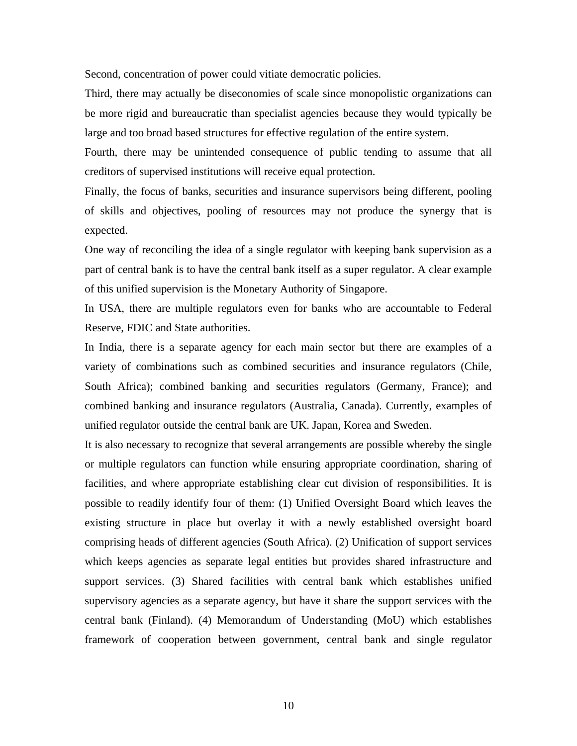Second, concentration of power could vitiate democratic policies.

Third, there may actually be diseconomies of scale since monopolistic organizations can be more rigid and bureaucratic than specialist agencies because they would typically be large and too broad based structures for effective regulation of the entire system.

Fourth, there may be unintended consequence of public tending to assume that all creditors of supervised institutions will receive equal protection.

Finally, the focus of banks, securities and insurance supervisors being different, pooling of skills and objectives, pooling of resources may not produce the synergy that is expected.

One way of reconciling the idea of a single regulator with keeping bank supervision as a part of central bank is to have the central bank itself as a super regulator. A clear example of this unified supervision is the Monetary Authority of Singapore.

In USA, there are multiple regulators even for banks who are accountable to Federal Reserve, FDIC and State authorities.

In India, there is a separate agency for each main sector but there are examples of a variety of combinations such as combined securities and insurance regulators (Chile, South Africa); combined banking and securities regulators (Germany, France); and combined banking and insurance regulators (Australia, Canada). Currently, examples of unified regulator outside the central bank are UK. Japan, Korea and Sweden.

It is also necessary to recognize that several arrangements are possible whereby the single or multiple regulators can function while ensuring appropriate coordination, sharing of facilities, and where appropriate establishing clear cut division of responsibilities. It is possible to readily identify four of them: (1) Unified Oversight Board which leaves the existing structure in place but overlay it with a newly established oversight board comprising heads of different agencies (South Africa). (2) Unification of support services which keeps agencies as separate legal entities but provides shared infrastructure and support services. (3) Shared facilities with central bank which establishes unified supervisory agencies as a separate agency, but have it share the support services with the central bank (Finland). (4) Memorandum of Understanding (MoU) which establishes framework of cooperation between government, central bank and single regulator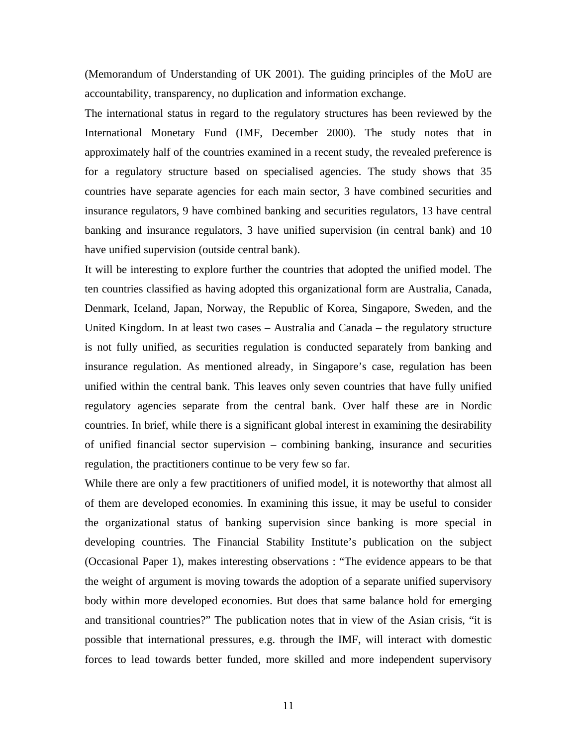(Memorandum of Understanding of UK 2001). The guiding principles of the MoU are accountability, transparency, no duplication and information exchange.

The international status in regard to the regulatory structures has been reviewed by the International Monetary Fund (IMF, December 2000). The study notes that in approximately half of the countries examined in a recent study, the revealed preference is for a regulatory structure based on specialised agencies. The study shows that 35 countries have separate agencies for each main sector, 3 have combined securities and insurance regulators, 9 have combined banking and securities regulators, 13 have central banking and insurance regulators, 3 have unified supervision (in central bank) and 10 have unified supervision (outside central bank).

It will be interesting to explore further the countries that adopted the unified model. The ten countries classified as having adopted this organizational form are Australia, Canada, Denmark, Iceland, Japan, Norway, the Republic of Korea, Singapore, Sweden, and the United Kingdom. In at least two cases – Australia and Canada – the regulatory structure is not fully unified, as securities regulation is conducted separately from banking and insurance regulation. As mentioned already, in Singapore's case, regulation has been unified within the central bank. This leaves only seven countries that have fully unified regulatory agencies separate from the central bank. Over half these are in Nordic countries. In brief, while there is a significant global interest in examining the desirability of unified financial sector supervision – combining banking, insurance and securities regulation, the practitioners continue to be very few so far.

While there are only a few practitioners of unified model, it is noteworthy that almost all of them are developed economies. In examining this issue, it may be useful to consider the organizational status of banking supervision since banking is more special in developing countries. The Financial Stability Institute's publication on the subject (Occasional Paper 1), makes interesting observations : "The evidence appears to be that the weight of argument is moving towards the adoption of a separate unified supervisory body within more developed economies. But does that same balance hold for emerging and transitional countries?" The publication notes that in view of the Asian crisis, "it is possible that international pressures, e.g. through the IMF, will interact with domestic forces to lead towards better funded, more skilled and more independent supervisory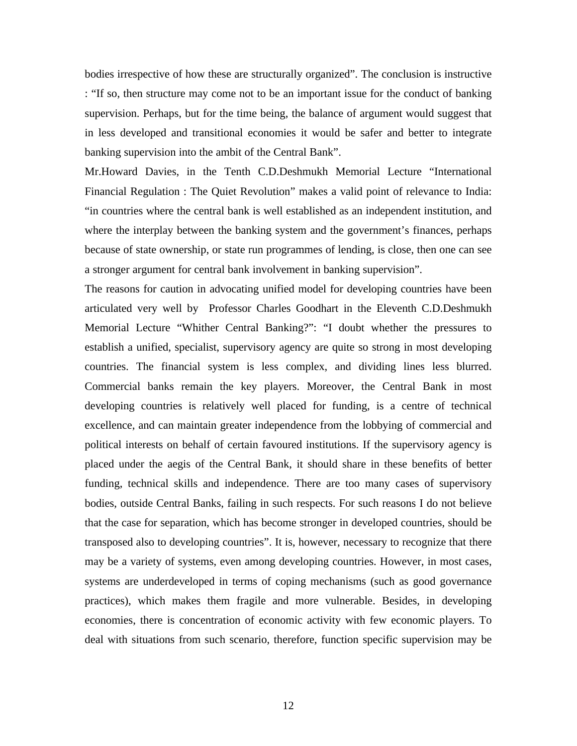bodies irrespective of how these are structurally organized". The conclusion is instructive : "If so, then structure may come not to be an important issue for the conduct of banking supervision. Perhaps, but for the time being, the balance of argument would suggest that in less developed and transitional economies it would be safer and better to integrate banking supervision into the ambit of the Central Bank".

Mr.Howard Davies, in the Tenth C.D.Deshmukh Memorial Lecture "International Financial Regulation : The Quiet Revolution" makes a valid point of relevance to India: "in countries where the central bank is well established as an independent institution, and where the interplay between the banking system and the government's finances, perhaps because of state ownership, or state run programmes of lending, is close, then one can see a stronger argument for central bank involvement in banking supervision".

The reasons for caution in advocating unified model for developing countries have been articulated very well by Professor Charles Goodhart in the Eleventh C.D.Deshmukh Memorial Lecture "Whither Central Banking?": "I doubt whether the pressures to establish a unified, specialist, supervisory agency are quite so strong in most developing countries. The financial system is less complex, and dividing lines less blurred. Commercial banks remain the key players. Moreover, the Central Bank in most developing countries is relatively well placed for funding, is a centre of technical excellence, and can maintain greater independence from the lobbying of commercial and political interests on behalf of certain favoured institutions. If the supervisory agency is placed under the aegis of the Central Bank, it should share in these benefits of better funding, technical skills and independence. There are too many cases of supervisory bodies, outside Central Banks, failing in such respects. For such reasons I do not believe that the case for separation, which has become stronger in developed countries, should be transposed also to developing countries". It is, however, necessary to recognize that there may be a variety of systems, even among developing countries. However, in most cases, systems are underdeveloped in terms of coping mechanisms (such as good governance practices), which makes them fragile and more vulnerable. Besides, in developing economies, there is concentration of economic activity with few economic players. To deal with situations from such scenario, therefore, function specific supervision may be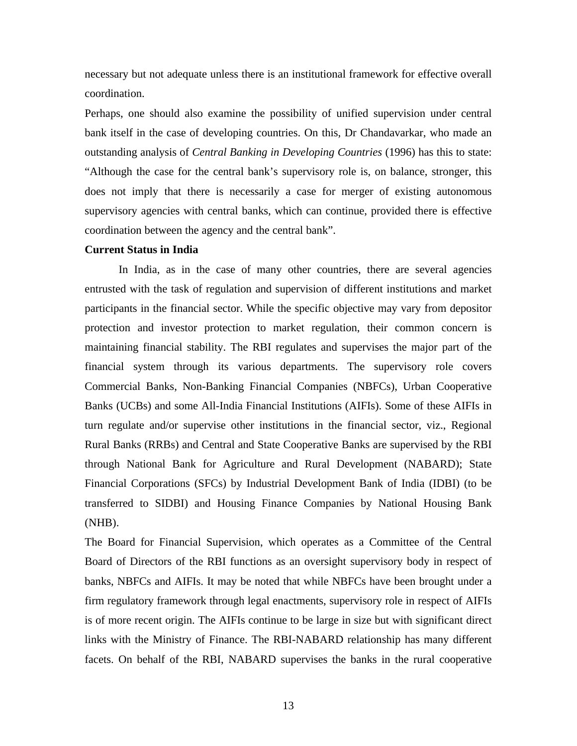necessary but not adequate unless there is an institutional framework for effective overall coordination.

Perhaps, one should also examine the possibility of unified supervision under central bank itself in the case of developing countries. On this, Dr Chandavarkar, who made an outstanding analysis of *Central Banking in Developing Countries* (1996) has this to state: "Although the case for the central bank's supervisory role is, on balance, stronger, this does not imply that there is necessarily a case for merger of existing autonomous supervisory agencies with central banks, which can continue, provided there is effective coordination between the agency and the central bank".

### **Current Status in India**

In India, as in the case of many other countries, there are several agencies entrusted with the task of regulation and supervision of different institutions and market participants in the financial sector. While the specific objective may vary from depositor protection and investor protection to market regulation, their common concern is maintaining financial stability. The RBI regulates and supervises the major part of the financial system through its various departments. The supervisory role covers Commercial Banks, Non-Banking Financial Companies (NBFCs), Urban Cooperative Banks (UCBs) and some All-India Financial Institutions (AIFIs). Some of these AIFIs in turn regulate and/or supervise other institutions in the financial sector, viz., Regional Rural Banks (RRBs) and Central and State Cooperative Banks are supervised by the RBI through National Bank for Agriculture and Rural Development (NABARD); State Financial Corporations (SFCs) by Industrial Development Bank of India (IDBI) (to be transferred to SIDBI) and Housing Finance Companies by National Housing Bank (NHB).

The Board for Financial Supervision, which operates as a Committee of the Central Board of Directors of the RBI functions as an oversight supervisory body in respect of banks, NBFCs and AIFIs. It may be noted that while NBFCs have been brought under a firm regulatory framework through legal enactments, supervisory role in respect of AIFIs is of more recent origin. The AIFIs continue to be large in size but with significant direct links with the Ministry of Finance. The RBI-NABARD relationship has many different facets. On behalf of the RBI, NABARD supervises the banks in the rural cooperative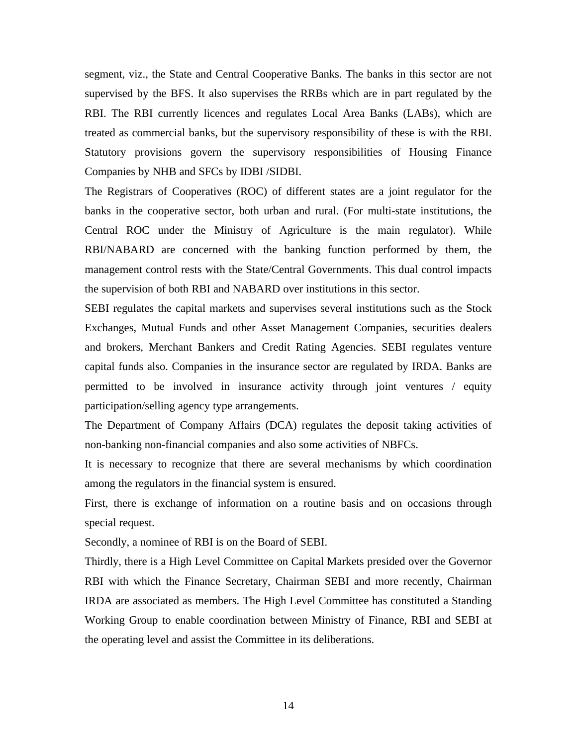segment, viz., the State and Central Cooperative Banks. The banks in this sector are not supervised by the BFS. It also supervises the RRBs which are in part regulated by the RBI. The RBI currently licences and regulates Local Area Banks (LABs), which are treated as commercial banks, but the supervisory responsibility of these is with the RBI. Statutory provisions govern the supervisory responsibilities of Housing Finance Companies by NHB and SFCs by IDBI /SIDBI.

The Registrars of Cooperatives (ROC) of different states are a joint regulator for the banks in the cooperative sector, both urban and rural. (For multi-state institutions, the Central ROC under the Ministry of Agriculture is the main regulator). While RBI/NABARD are concerned with the banking function performed by them, the management control rests with the State/Central Governments. This dual control impacts the supervision of both RBI and NABARD over institutions in this sector.

SEBI regulates the capital markets and supervises several institutions such as the Stock Exchanges, Mutual Funds and other Asset Management Companies, securities dealers and brokers, Merchant Bankers and Credit Rating Agencies. SEBI regulates venture capital funds also. Companies in the insurance sector are regulated by IRDA. Banks are permitted to be involved in insurance activity through joint ventures / equity participation/selling agency type arrangements.

The Department of Company Affairs (DCA) regulates the deposit taking activities of non-banking non-financial companies and also some activities of NBFCs.

It is necessary to recognize that there are several mechanisms by which coordination among the regulators in the financial system is ensured.

First, there is exchange of information on a routine basis and on occasions through special request.

Secondly, a nominee of RBI is on the Board of SEBI.

Thirdly, there is a High Level Committee on Capital Markets presided over the Governor RBI with which the Finance Secretary, Chairman SEBI and more recently, Chairman IRDA are associated as members. The High Level Committee has constituted a Standing Working Group to enable coordination between Ministry of Finance, RBI and SEBI at the operating level and assist the Committee in its deliberations.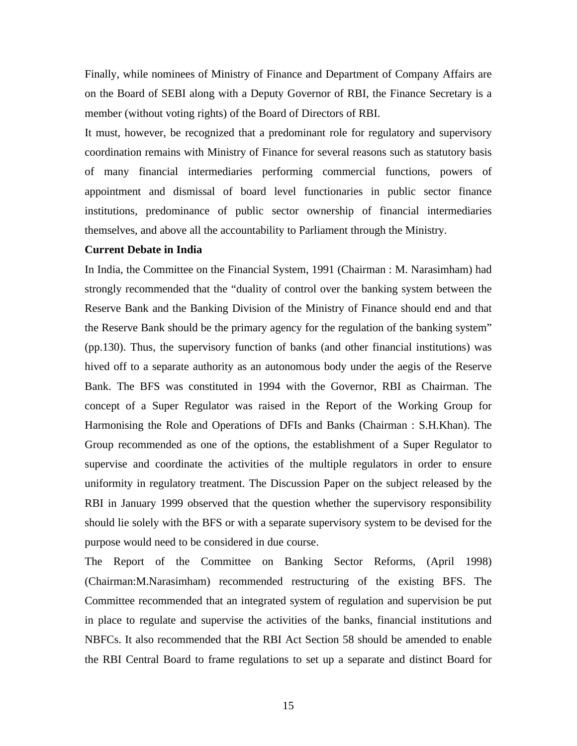Finally, while nominees of Ministry of Finance and Department of Company Affairs are on the Board of SEBI along with a Deputy Governor of RBI, the Finance Secretary is a member (without voting rights) of the Board of Directors of RBI.

It must, however, be recognized that a predominant role for regulatory and supervisory coordination remains with Ministry of Finance for several reasons such as statutory basis of many financial intermediaries performing commercial functions, powers of appointment and dismissal of board level functionaries in public sector finance institutions, predominance of public sector ownership of financial intermediaries themselves, and above all the accountability to Parliament through the Ministry.

### **Current Debate in India**

In India, the Committee on the Financial System, 1991 (Chairman : M. Narasimham) had strongly recommended that the "duality of control over the banking system between the Reserve Bank and the Banking Division of the Ministry of Finance should end and that the Reserve Bank should be the primary agency for the regulation of the banking system" (pp.130). Thus, the supervisory function of banks (and other financial institutions) was hived off to a separate authority as an autonomous body under the aegis of the Reserve Bank. The BFS was constituted in 1994 with the Governor, RBI as Chairman. The concept of a Super Regulator was raised in the Report of the Working Group for Harmonising the Role and Operations of DFIs and Banks (Chairman : S.H.Khan). The Group recommended as one of the options, the establishment of a Super Regulator to supervise and coordinate the activities of the multiple regulators in order to ensure uniformity in regulatory treatment. The Discussion Paper on the subject released by the RBI in January 1999 observed that the question whether the supervisory responsibility should lie solely with the BFS or with a separate supervisory system to be devised for the purpose would need to be considered in due course.

The Report of the Committee on Banking Sector Reforms, (April 1998) (Chairman:M.Narasimham) recommended restructuring of the existing BFS. The Committee recommended that an integrated system of regulation and supervision be put in place to regulate and supervise the activities of the banks, financial institutions and NBFCs. It also recommended that the RBI Act Section 58 should be amended to enable the RBI Central Board to frame regulations to set up a separate and distinct Board for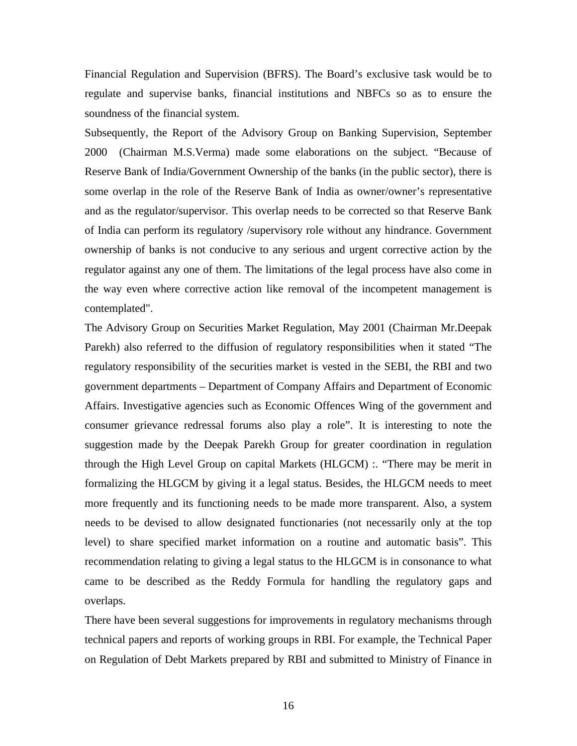Financial Regulation and Supervision (BFRS). The Board's exclusive task would be to regulate and supervise banks, financial institutions and NBFCs so as to ensure the soundness of the financial system.

Subsequently, the Report of the Advisory Group on Banking Supervision, September 2000 (Chairman M.S.Verma) made some elaborations on the subject. "Because of Reserve Bank of India/Government Ownership of the banks (in the public sector), there is some overlap in the role of the Reserve Bank of India as owner/owner's representative and as the regulator/supervisor. This overlap needs to be corrected so that Reserve Bank of India can perform its regulatory /supervisory role without any hindrance. Government ownership of banks is not conducive to any serious and urgent corrective action by the regulator against any one of them. The limitations of the legal process have also come in the way even where corrective action like removal of the incompetent management is contemplated".

The Advisory Group on Securities Market Regulation, May 2001 (Chairman Mr.Deepak Parekh) also referred to the diffusion of regulatory responsibilities when it stated "The regulatory responsibility of the securities market is vested in the SEBI, the RBI and two government departments – Department of Company Affairs and Department of Economic Affairs. Investigative agencies such as Economic Offences Wing of the government and consumer grievance redressal forums also play a role". It is interesting to note the suggestion made by the Deepak Parekh Group for greater coordination in regulation through the High Level Group on capital Markets (HLGCM) :. "There may be merit in formalizing the HLGCM by giving it a legal status. Besides, the HLGCM needs to meet more frequently and its functioning needs to be made more transparent. Also, a system needs to be devised to allow designated functionaries (not necessarily only at the top level) to share specified market information on a routine and automatic basis". This recommendation relating to giving a legal status to the HLGCM is in consonance to what came to be described as the Reddy Formula for handling the regulatory gaps and overlaps.

There have been several suggestions for improvements in regulatory mechanisms through technical papers and reports of working groups in RBI. For example, the Technical Paper on Regulation of Debt Markets prepared by RBI and submitted to Ministry of Finance in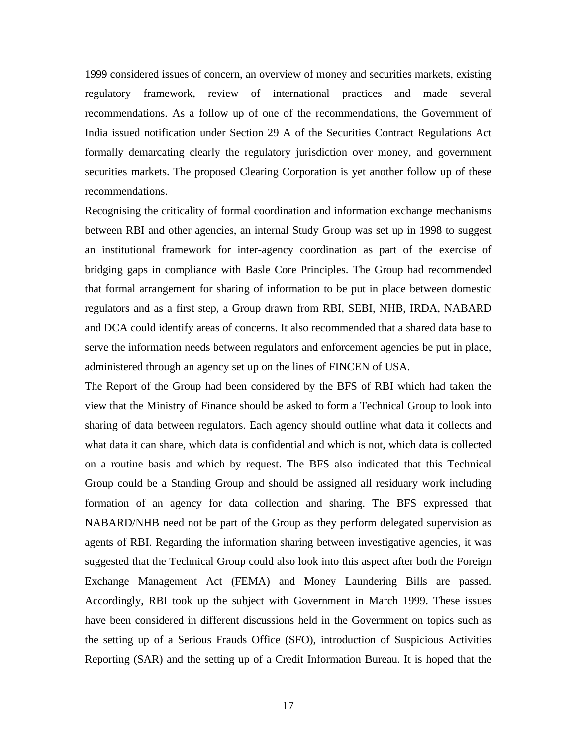1999 considered issues of concern, an overview of money and securities markets, existing regulatory framework, review of international practices and made several recommendations. As a follow up of one of the recommendations, the Government of India issued notification under Section 29 A of the Securities Contract Regulations Act formally demarcating clearly the regulatory jurisdiction over money, and government securities markets. The proposed Clearing Corporation is yet another follow up of these recommendations.

Recognising the criticality of formal coordination and information exchange mechanisms between RBI and other agencies, an internal Study Group was set up in 1998 to suggest an institutional framework for inter-agency coordination as part of the exercise of bridging gaps in compliance with Basle Core Principles. The Group had recommended that formal arrangement for sharing of information to be put in place between domestic regulators and as a first step, a Group drawn from RBI, SEBI, NHB, IRDA, NABARD and DCA could identify areas of concerns. It also recommended that a shared data base to serve the information needs between regulators and enforcement agencies be put in place, administered through an agency set up on the lines of FINCEN of USA.

The Report of the Group had been considered by the BFS of RBI which had taken the view that the Ministry of Finance should be asked to form a Technical Group to look into sharing of data between regulators. Each agency should outline what data it collects and what data it can share, which data is confidential and which is not, which data is collected on a routine basis and which by request. The BFS also indicated that this Technical Group could be a Standing Group and should be assigned all residuary work including formation of an agency for data collection and sharing. The BFS expressed that NABARD/NHB need not be part of the Group as they perform delegated supervision as agents of RBI. Regarding the information sharing between investigative agencies, it was suggested that the Technical Group could also look into this aspect after both the Foreign Exchange Management Act (FEMA) and Money Laundering Bills are passed. Accordingly, RBI took up the subject with Government in March 1999. These issues have been considered in different discussions held in the Government on topics such as the setting up of a Serious Frauds Office (SFO), introduction of Suspicious Activities Reporting (SAR) and the setting up of a Credit Information Bureau. It is hoped that the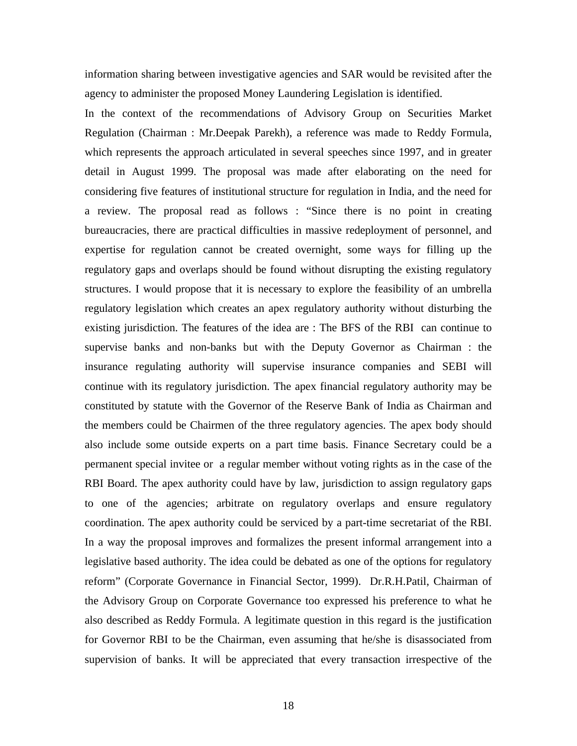information sharing between investigative agencies and SAR would be revisited after the agency to administer the proposed Money Laundering Legislation is identified.

In the context of the recommendations of Advisory Group on Securities Market Regulation (Chairman : Mr.Deepak Parekh), a reference was made to Reddy Formula, which represents the approach articulated in several speeches since 1997, and in greater detail in August 1999. The proposal was made after elaborating on the need for considering five features of institutional structure for regulation in India, and the need for a review. The proposal read as follows : "Since there is no point in creating bureaucracies, there are practical difficulties in massive redeployment of personnel, and expertise for regulation cannot be created overnight, some ways for filling up the regulatory gaps and overlaps should be found without disrupting the existing regulatory structures. I would propose that it is necessary to explore the feasibility of an umbrella regulatory legislation which creates an apex regulatory authority without disturbing the existing jurisdiction. The features of the idea are : The BFS of the RBI can continue to supervise banks and non-banks but with the Deputy Governor as Chairman : the insurance regulating authority will supervise insurance companies and SEBI will continue with its regulatory jurisdiction. The apex financial regulatory authority may be constituted by statute with the Governor of the Reserve Bank of India as Chairman and the members could be Chairmen of the three regulatory agencies. The apex body should also include some outside experts on a part time basis. Finance Secretary could be a permanent special invitee or a regular member without voting rights as in the case of the RBI Board. The apex authority could have by law, jurisdiction to assign regulatory gaps to one of the agencies; arbitrate on regulatory overlaps and ensure regulatory coordination. The apex authority could be serviced by a part-time secretariat of the RBI. In a way the proposal improves and formalizes the present informal arrangement into a legislative based authority. The idea could be debated as one of the options for regulatory reform" (Corporate Governance in Financial Sector, 1999). Dr.R.H.Patil, Chairman of the Advisory Group on Corporate Governance too expressed his preference to what he also described as Reddy Formula. A legitimate question in this regard is the justification for Governor RBI to be the Chairman, even assuming that he/she is disassociated from supervision of banks. It will be appreciated that every transaction irrespective of the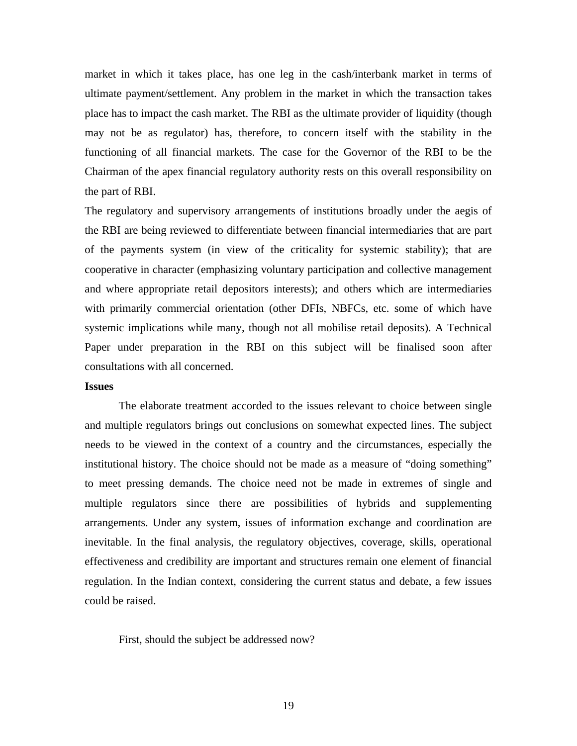market in which it takes place, has one leg in the cash/interbank market in terms of ultimate payment/settlement. Any problem in the market in which the transaction takes place has to impact the cash market. The RBI as the ultimate provider of liquidity (though may not be as regulator) has, therefore, to concern itself with the stability in the functioning of all financial markets. The case for the Governor of the RBI to be the Chairman of the apex financial regulatory authority rests on this overall responsibility on the part of RBI.

The regulatory and supervisory arrangements of institutions broadly under the aegis of the RBI are being reviewed to differentiate between financial intermediaries that are part of the payments system (in view of the criticality for systemic stability); that are cooperative in character (emphasizing voluntary participation and collective management and where appropriate retail depositors interests); and others which are intermediaries with primarily commercial orientation (other DFIs, NBFCs, etc. some of which have systemic implications while many, though not all mobilise retail deposits). A Technical Paper under preparation in the RBI on this subject will be finalised soon after consultations with all concerned.

### **Issues**

The elaborate treatment accorded to the issues relevant to choice between single and multiple regulators brings out conclusions on somewhat expected lines. The subject needs to be viewed in the context of a country and the circumstances, especially the institutional history. The choice should not be made as a measure of "doing something" to meet pressing demands. The choice need not be made in extremes of single and multiple regulators since there are possibilities of hybrids and supplementing arrangements. Under any system, issues of information exchange and coordination are inevitable. In the final analysis, the regulatory objectives, coverage, skills, operational effectiveness and credibility are important and structures remain one element of financial regulation. In the Indian context, considering the current status and debate, a few issues could be raised.

First, should the subject be addressed now?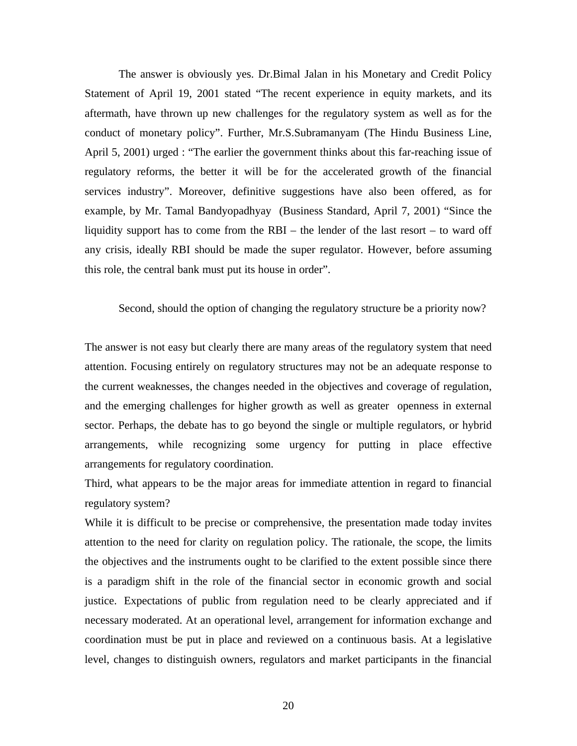The answer is obviously yes. Dr.Bimal Jalan in his Monetary and Credit Policy Statement of April 19, 2001 stated "The recent experience in equity markets, and its aftermath, have thrown up new challenges for the regulatory system as well as for the conduct of monetary policy". Further, Mr.S.Subramanyam (The Hindu Business Line, April 5, 2001) urged : "The earlier the government thinks about this far-reaching issue of regulatory reforms, the better it will be for the accelerated growth of the financial services industry". Moreover, definitive suggestions have also been offered, as for example, by Mr. Tamal Bandyopadhyay (Business Standard, April 7, 2001) "Since the liquidity support has to come from the RBI – the lender of the last resort – to ward off any crisis, ideally RBI should be made the super regulator. However, before assuming this role, the central bank must put its house in order".

# Second, should the option of changing the regulatory structure be a priority now?

The answer is not easy but clearly there are many areas of the regulatory system that need attention. Focusing entirely on regulatory structures may not be an adequate response to the current weaknesses, the changes needed in the objectives and coverage of regulation, and the emerging challenges for higher growth as well as greater openness in external sector. Perhaps, the debate has to go beyond the single or multiple regulators, or hybrid arrangements, while recognizing some urgency for putting in place effective arrangements for regulatory coordination.

Third, what appears to be the major areas for immediate attention in regard to financial regulatory system?

While it is difficult to be precise or comprehensive, the presentation made today invites attention to the need for clarity on regulation policy. The rationale, the scope, the limits the objectives and the instruments ought to be clarified to the extent possible since there is a paradigm shift in the role of the financial sector in economic growth and social justice. Expectations of public from regulation need to be clearly appreciated and if necessary moderated. At an operational level, arrangement for information exchange and coordination must be put in place and reviewed on a continuous basis. At a legislative level, changes to distinguish owners, regulators and market participants in the financial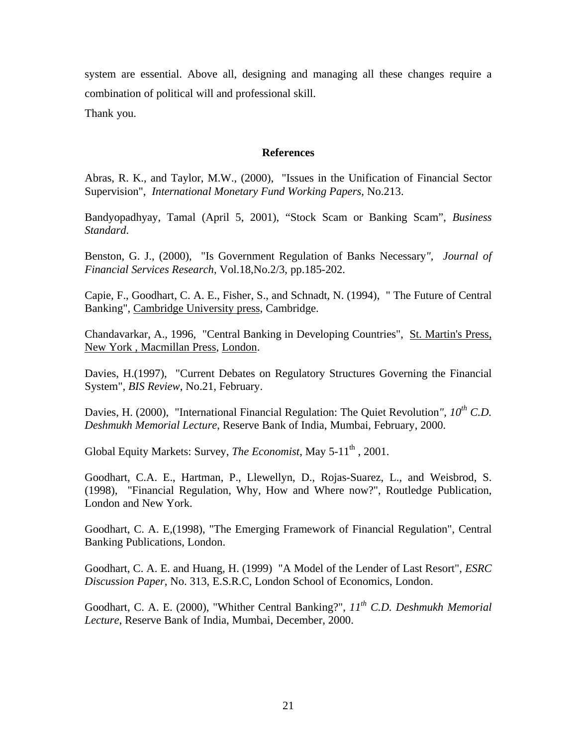system are essential. Above all, designing and managing all these changes require a combination of political will and professional skill.

Thank you.

# **References**

Abras, R. K., and Taylor, M.W., (2000), "Issues in the Unification of Financial Sector Supervision", *International Monetary Fund Working Papers*, No.213.

Bandyopadhyay, Tamal (April 5, 2001), "Stock Scam or Banking Scam", *Business Standard*.

Benston, G. J., (2000), "Is Government Regulation of Banks Necessary*", Journal of Financial Services Research*, Vol.18,No.2/3, pp.185-202.

Capie, F., Goodhart, C. A. E., Fisher, S., and Schnadt, N. (1994), " The Future of Central Banking", Cambridge University press, Cambridge.

Chandavarkar, A., 1996, "Central Banking in Developing Countries", St. Martin's Press, New York , Macmillan Press, London.

Davies, H.(1997), "Current Debates on Regulatory Structures Governing the Financial System", *BIS Review*, No.21, February.

Davies, H. (2000), "International Financial Regulation: The Quiet Revolution*", 10th C.D. Deshmukh Memorial Lecture*, Reserve Bank of India, Mumbai, February, 2000.

Global Equity Markets: Survey, *The Economist*, May 5-11<sup>th</sup>, 2001.

Goodhart, C.A. E., Hartman, P., Llewellyn, D., Rojas-Suarez, L., and Weisbrod, S. (1998), "Financial Regulation, Why, How and Where now?", Routledge Publication, London and New York.

Goodhart, C. A. E,(1998), "The Emerging Framework of Financial Regulation", Central Banking Publications, London.

Goodhart, C. A. E. and Huang, H. (1999) "A Model of the Lender of Last Resort", *ESRC Discussion Paper*, No. 313, E.S.R.C, London School of Economics, London.

Goodhart, C. A. E. (2000), "Whither Central Banking?", *11th C.D. Deshmukh Memorial Lecture*, Reserve Bank of India, Mumbai, December, 2000.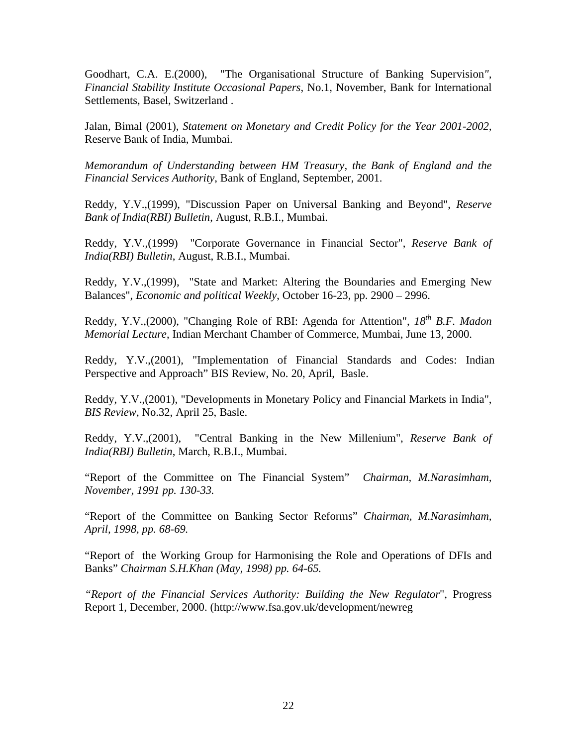Goodhart, C.A. E.(2000), "The Organisational Structure of Banking Supervision*", Financial Stability Institute Occasional Papers*, No.1, November, Bank for International Settlements, Basel, Switzerland .

Jalan, Bimal (2001), *Statement on Monetary and Credit Policy for the Year 2001-2002,* Reserve Bank of India, Mumbai.

*Memorandum of Understanding between HM Treasury, the Bank of England and the Financial Services Authority*, Bank of England, September, 2001.

Reddy, Y.V.,(1999), "Discussion Paper on Universal Banking and Beyond", *Reserve Bank of India(RBI) Bulletin*, August, R.B.I., Mumbai.

Reddy, Y.V.,(1999) "Corporate Governance in Financial Sector", *Reserve Bank of India(RBI) Bulletin*, August, R.B.I., Mumbai.

Reddy, Y.V.,(1999), "State and Market: Altering the Boundaries and Emerging New Balances", *Economic and political Weekly*, October 16-23, pp. 2900 – 2996.

Reddy, Y.V.,(2000), "Changing Role of RBI: Agenda for Attention", *18th B.F. Madon Memorial Lecture*, Indian Merchant Chamber of Commerce, Mumbai, June 13, 2000.

Reddy, Y.V.,(2001), "Implementation of Financial Standards and Codes: Indian Perspective and Approach" BIS Review, No. 20, April, Basle.

Reddy, Y.V.,(2001), "Developments in Monetary Policy and Financial Markets in India", *BIS Review*, No.32, April 25, Basle.

Reddy, Y.V.,(2001), "Central Banking in the New Millenium", *Reserve Bank of India(RBI) Bulletin*, March, R.B.I., Mumbai.

"Report of the Committee on The Financial System" *Chairman, M.Narasimham, November, 1991 pp. 130-33.*

"Report of the Committee on Banking Sector Reforms" *Chairman, M.Narasimham, April, 1998, pp. 68-69.*

"Report of the Working Group for Harmonising the Role and Operations of DFIs and Banks" *Chairman S.H.Khan (May, 1998) pp. 64-65.*

*"Report of the Financial Services Authority: Building the New Regulator*", Progress Report 1, December, 2000. (http://www.fsa.gov.uk/development/newreg